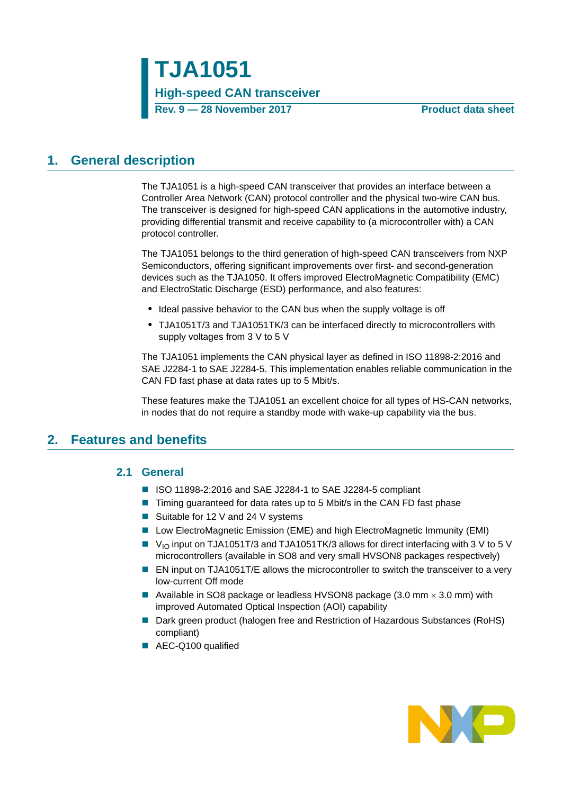## <span id="page-0-0"></span>**1. General description**

The TJA1051 is a high-speed CAN transceiver that provides an interface between a Controller Area Network (CAN) protocol controller and the physical two-wire CAN bus. The transceiver is designed for high-speed CAN applications in the automotive industry, providing differential transmit and receive capability to (a microcontroller with) a CAN protocol controller.

The TJA1051 belongs to the third generation of high-speed CAN transceivers from NXP Semiconductors, offering significant improvements over first- and second-generation devices such as the TJA1050. It offers improved ElectroMagnetic Compatibility (EMC) and ElectroStatic Discharge (ESD) performance, and also features:

- **•** Ideal passive behavior to the CAN bus when the supply voltage is off
- **•** TJA1051T/3 and TJA1051TK/3 can be interfaced directly to microcontrollers with supply voltages from 3 V to 5 V

The TJA1051 implements the CAN physical layer as defined in ISO 11898-2:2016 and SAE J2284-1 to SAE J2284-5. This implementation enables reliable communication in the CAN FD fast phase at data rates up to 5 Mbit/s.

These features make the TJA1051 an excellent choice for all types of HS-CAN networks, in nodes that do not require a standby mode with wake-up capability via the bus.

### <span id="page-0-2"></span><span id="page-0-1"></span>**2. Features and benefits**

### **2.1 General**

- ISO 11898-2:2016 and SAE J2284-1 to SAE J2284-5 compliant
- Timing guaranteed for data rates up to 5 Mbit/s in the CAN FD fast phase
- Suitable for 12 V and 24 V systems
- Low ElectroMagnetic Emission (EME) and high ElectroMagnetic Immunity (EMI)
- V<sub>IO</sub> input on TJA1051T/3 and TJA1051TK/3 allows for direct interfacing with 3 V to 5 V microcontrollers (available in SO8 and very small HVSON8 packages respectively)
- EN input on TJA1051T/E allows the microcontroller to switch the transceiver to a very low-current Off mode
- Available in SO8 package or leadless HVSON8 package  $(3.0 \text{ mm} \times 3.0 \text{ mm})$  with improved Automated Optical Inspection (AOI) capability
- Dark green product (halogen free and Restriction of Hazardous Substances (RoHS) compliant)
- AEC-Q100 qualified

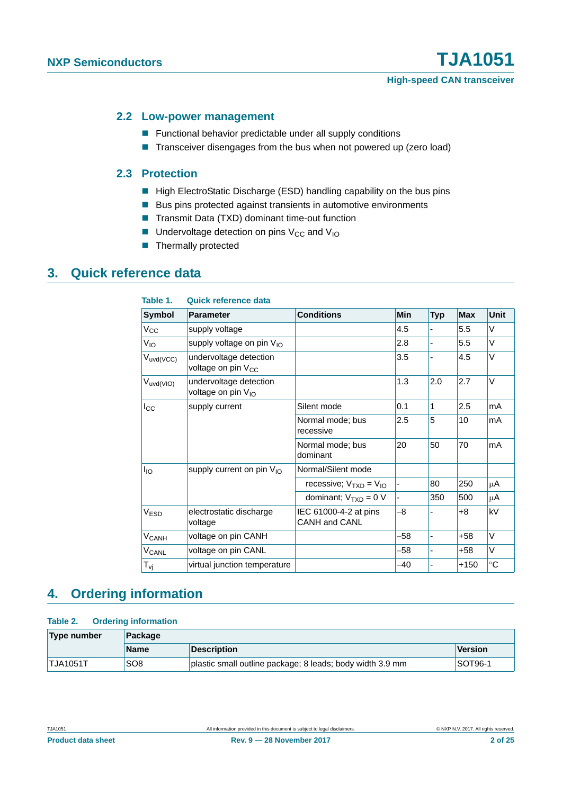#### <span id="page-1-0"></span>**2.2 Low-power management**

- **Functional behavior predictable under all supply conditions**
- Transceiver disengages from the bus when not powered up (zero load)

#### <span id="page-1-1"></span>**2.3 Protection**

- High ElectroStatic Discharge (ESD) handling capability on the bus pins
- Bus pins protected against transients in automotive environments
- Transmit Data (TXD) dominant time-out function
- $\blacksquare$  Undervoltage detection on pins V<sub>CC</sub> and V<sub>IO</sub>
- **Thermally protected**

## <span id="page-1-2"></span>**3. Quick reference data**

| Table 1.                | <b>Quick reference data</b>                              |                                        |            |                          |            |             |
|-------------------------|----------------------------------------------------------|----------------------------------------|------------|--------------------------|------------|-------------|
| <b>Symbol</b>           | <b>Parameter</b>                                         | <b>Conditions</b>                      | <b>Min</b> | Typ                      | <b>Max</b> | <b>Unit</b> |
| $V_{CC}$                | supply voltage                                           |                                        | 4.5        |                          | 5.5        | V           |
| $V_{IO}$                | supply voltage on pin V <sub>IO</sub>                    |                                        | 2.8        |                          | 5.5        | V           |
| $V_{uvd(VCC)}$          | undervoltage detection<br>voltage on pin V <sub>CC</sub> |                                        | 3.5        |                          | 4.5        | V           |
| $V_{uvd(VIO)}$          | undervoltage detection<br>voltage on pin V <sub>IO</sub> |                                        | 1.3        | 2.0                      | 2.7        | V           |
| $I_{\rm CC}$            | supply current                                           | Silent mode                            | 0.1        | 1                        | 2.5        | mA          |
|                         |                                                          | Normal mode; bus<br>recessive          | 2.5        | 5                        | 10         | mA          |
|                         |                                                          | Normal mode; bus<br>dominant           | 20         | 50                       | 70         | mA          |
| $I_{IO}$                | supply current on pin $V_{10}$                           | Normal/Silent mode                     |            |                          |            |             |
|                         |                                                          | recessive; $V_{TXD} = V_{IO}$          |            | 80                       | 250        | μA          |
|                         |                                                          | dominant; $V_{TXD} = 0 V$              |            | 350                      | 500        | μA          |
| V <sub>ESD</sub>        | electrostatic discharge<br>voltage                       | IEC 61000-4-2 at pins<br>CANH and CANL | -8         |                          | +8         | kV          |
| <b>V<sub>CANH</sub></b> | voltage on pin CANH                                      |                                        | $-58$      | $\overline{\phantom{a}}$ | $+58$      | V           |
| <b>V<sub>CANL</sub></b> | voltage on pin CANL                                      |                                        | -58        |                          | $+58$      | V           |
| $T_{\rm{VI}}$           | virtual junction temperature                             |                                        | $-40$      |                          | $+150$     | $^{\circ}C$ |

## <span id="page-1-3"></span>**4. Ordering information**

#### **Table 2. Ordering information**

| Type number     | Package         |                                                           |                |  |  |  |
|-----------------|-----------------|-----------------------------------------------------------|----------------|--|--|--|
|                 | <b>Name</b>     | <b>Description</b>                                        | Version        |  |  |  |
| <b>TJA1051T</b> | SO <sub>8</sub> | plastic small outline package; 8 leads; body width 3.9 mm | <b>SOT96-1</b> |  |  |  |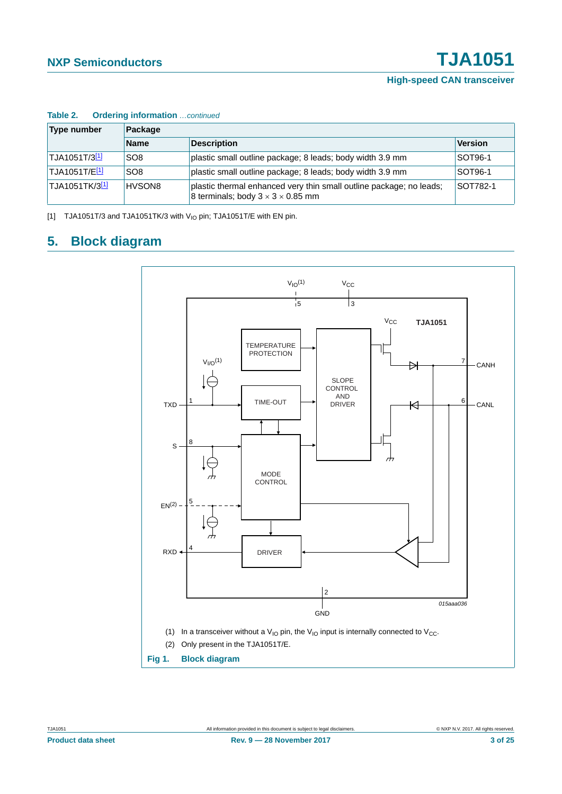| $14000 + 1$<br>Type number    | Package         |                                                                                                                      |                 |  |  |  |  |  |
|-------------------------------|-----------------|----------------------------------------------------------------------------------------------------------------------|-----------------|--|--|--|--|--|
|                               | <b>Name</b>     | <b>Description</b>                                                                                                   | <b>Version</b>  |  |  |  |  |  |
| TJA1051T/3 <sup>[1]</sup>     | SO <sub>8</sub> | plastic small outline package; 8 leads; body width 3.9 mm                                                            | <b>SOT96-1</b>  |  |  |  |  |  |
| 'TJA1051T/E <mark>[1]</mark>  | SO <sub>8</sub> | plastic small outline package; 8 leads; body width 3.9 mm                                                            | <b>SOT96-1</b>  |  |  |  |  |  |
| 'TJA1051TK/3 <mark>[1]</mark> | HVSON8          | plastic thermal enhanced very thin small outline package; no leads;<br>8 terminals; body $3 \times 3 \times 0.85$ mm | <b>SOT782-1</b> |  |  |  |  |  |

#### **Table 2. Ordering information** continued

<span id="page-2-0"></span>[1] TJA1051T/3 and TJA1051TK/3 with  $V_{1O}$  pin; TJA1051T/E with EN pin.

## <span id="page-2-2"></span>**5. Block diagram**

<span id="page-2-1"></span>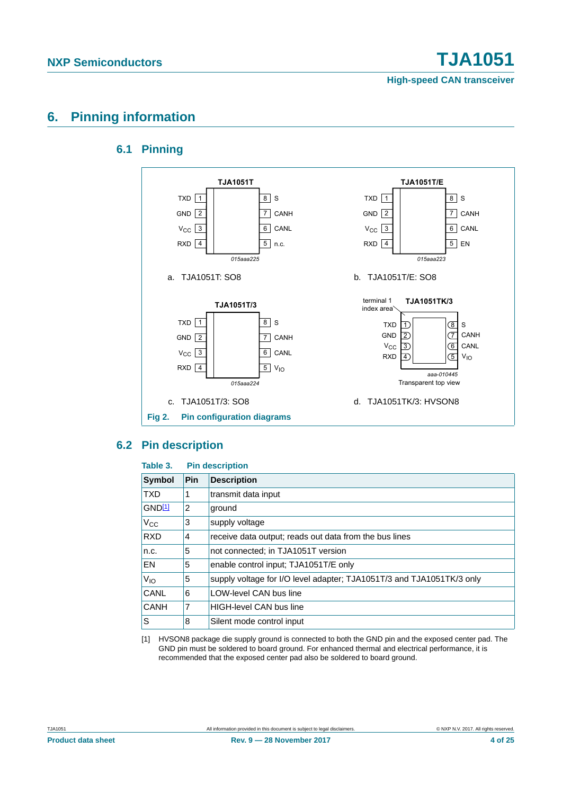## <span id="page-3-2"></span><span id="page-3-1"></span>**6. Pinning information**

### **6.1 Pinning**



### <span id="page-3-3"></span>**6.2 Pin description**

#### **Table 3. Pin description**

| Symbol      | <b>Pin</b> | <b>Description</b>                                                    |
|-------------|------------|-----------------------------------------------------------------------|
| <b>TXD</b>  | 1          | transmit data input                                                   |
| GND11       | 2          | ground                                                                |
| $V_{CC}$    | 3          | supply voltage                                                        |
| <b>RXD</b>  | 4          | receive data output; reads out data from the bus lines                |
| n.c.        | 5          | not connected; in TJA1051T version                                    |
| <b>EN</b>   | 5          | enable control input; TJA1051T/E only                                 |
| $V_{IO}$    | 5          | supply voltage for I/O level adapter; TJA1051T/3 and TJA1051TK/3 only |
| <b>CANL</b> | 6          | <b>LOW-level CAN bus line</b>                                         |
| <b>CANH</b> | 7          | <b>HIGH-level CAN bus line</b>                                        |
| ls.         | 8          | Silent mode control input                                             |

<span id="page-3-0"></span>[1] HVSON8 package die supply ground is connected to both the GND pin and the exposed center pad. The GND pin must be soldered to board ground. For enhanced thermal and electrical performance, it is recommended that the exposed center pad also be soldered to board ground.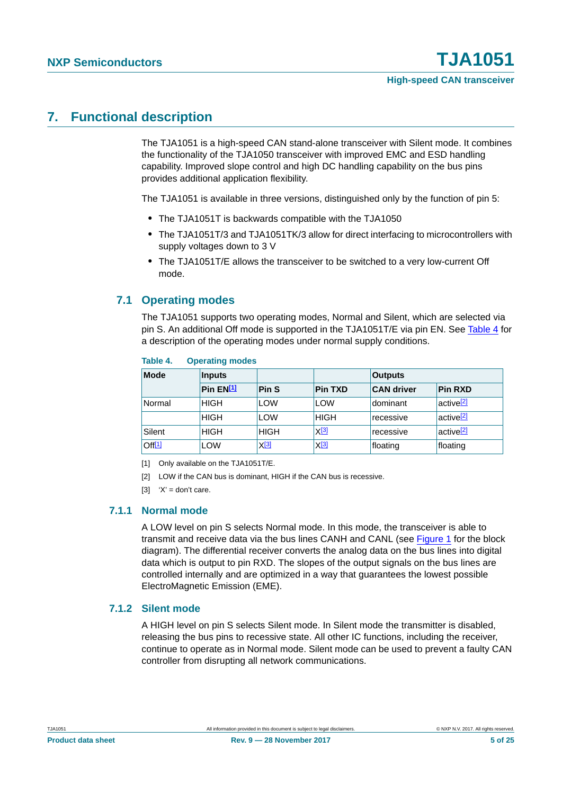## <span id="page-4-4"></span>**7. Functional description**

The TJA1051 is a high-speed CAN stand-alone transceiver with Silent mode. It combines the functionality of the TJA1050 transceiver with improved EMC and ESD handling capability. Improved slope control and high DC handling capability on the bus pins provides additional application flexibility.

The TJA1051 is available in three versions, distinguished only by the function of pin 5:

- **•** The TJA1051T is backwards compatible with the TJA1050
- **•** The TJA1051T/3 and TJA1051TK/3 allow for direct interfacing to microcontrollers with supply voltages down to 3 V
- **•** The TJA1051T/E allows the transceiver to be switched to a very low-current Off mode.

### <span id="page-4-5"></span>**7.1 Operating modes**

The TJA1051 supports two operating modes, Normal and Silent, which are selected via pin S. An additional Off mode is supported in the TJA1051T/E via pin EN. See [Table 4](#page-4-0) for a description of the operating modes under normal supply conditions.

| <b>Mode</b>        | <b>Inputs</b> |             |                | <b>Outputs</b>    |                                    |  |  |
|--------------------|---------------|-------------|----------------|-------------------|------------------------------------|--|--|
|                    | Pin $EN[1]$   | Pin S       | <b>Pin TXD</b> | <b>CAN driver</b> | <b>Pin RXD</b>                     |  |  |
| Normal             | <b>HIGH</b>   | LOW         | LOW            | dominant          | <sup>l</sup> active <sup>[2]</sup> |  |  |
|                    | <b>HIGH</b>   | <b>LOW</b>  | <b>HIGH</b>    | recessive         | active <sup>[2]</sup>              |  |  |
| Silent             | <b>HIGH</b>   | <b>HIGH</b> | $X^{[3]}$      | recessive         | active <sup>[2]</sup>              |  |  |
| Off <sup>[1]</sup> | LOW           | $X^{[3]}$   | $X^{[3]}$      | floating          | floating                           |  |  |

#### <span id="page-4-0"></span>**Table 4. Operating modes**

<span id="page-4-3"></span>[1] Only available on the TJA1051T/E.

<span id="page-4-1"></span>[2] LOW if the CAN bus is dominant, HIGH if the CAN bus is recessive.

<span id="page-4-2"></span>[3]  $'X' =$  don't care.

#### <span id="page-4-6"></span>**7.1.1 Normal mode**

A LOW level on pin S selects Normal mode. In this mode, the transceiver is able to transmit and receive data via the bus lines CANH and CANL (see [Figure 1](#page-2-1) for the block diagram). The differential receiver converts the analog data on the bus lines into digital data which is output to pin RXD. The slopes of the output signals on the bus lines are controlled internally and are optimized in a way that guarantees the lowest possible ElectroMagnetic Emission (EME).

#### <span id="page-4-7"></span>**7.1.2 Silent mode**

A HIGH level on pin S selects Silent mode. In Silent mode the transmitter is disabled, releasing the bus pins to recessive state. All other IC functions, including the receiver, continue to operate as in Normal mode. Silent mode can be used to prevent a faulty CAN controller from disrupting all network communications.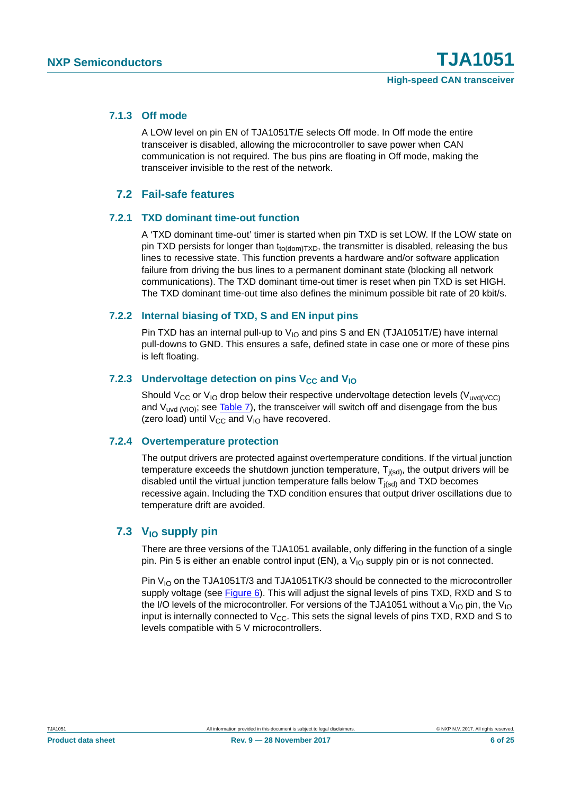#### <span id="page-5-0"></span>**7.1.3 Off mode**

A LOW level on pin EN of TJA1051T/E selects Off mode. In Off mode the entire transceiver is disabled, allowing the microcontroller to save power when CAN communication is not required. The bus pins are floating in Off mode, making the transceiver invisible to the rest of the network.

#### **7.2 Fail-safe features**

#### <span id="page-5-2"></span><span id="page-5-1"></span>**7.2.1 TXD dominant time-out function**

A 'TXD dominant time-out' timer is started when pin TXD is set LOW. If the LOW state on pin TXD persists for longer than  $t_{\text{fodomTXD}}$ , the transmitter is disabled, releasing the bus lines to recessive state. This function prevents a hardware and/or software application failure from driving the bus lines to a permanent dominant state (blocking all network communications). The TXD dominant time-out timer is reset when pin TXD is set HIGH. The TXD dominant time-out time also defines the minimum possible bit rate of 20 kbit/s.

#### <span id="page-5-3"></span>**7.2.2 Internal biasing of TXD, S and EN input pins**

Pin TXD has an internal pull-up to  $V_{10}$  and pins S and EN (TJA1051T/E) have internal pull-downs to GND. This ensures a safe, defined state in case one or more of these pins is left floating.

#### <span id="page-5-4"></span>**7.2.3** Undervoltage detection on pins V<sub>CC</sub> and V<sub>IO</sub>

Should V<sub>CC</sub> or V<sub>IO</sub> drop below their respective undervoltage detection levels (V<sub>uvd(VCC)</sub> and  $V_{uvd (VIO)}$ ; see [Table 7\)](#page-7-0), the transceiver will switch off and disengage from the bus (zero load) until  $V_{CC}$  and  $V_{IO}$  have recovered.

#### <span id="page-5-5"></span>**7.2.4 Overtemperature protection**

The output drivers are protected against overtemperature conditions. If the virtual junction temperature exceeds the shutdown junction temperature,  $T_{j(sd)}$ , the output drivers will be disabled until the virtual junction temperature falls below  $T_{j(sd)}$  and TXD becomes recessive again. Including the TXD condition ensures that output driver oscillations due to temperature drift are avoided.

### <span id="page-5-6"></span>**7.3** V<sub>IO</sub> supply pin

There are three versions of the TJA1051 available, only differing in the function of a single pin. Pin 5 is either an enable control input (EN), a  $V_{10}$  supply pin or is not connected.

Pin  $V_{10}$  on the TJA1051T/3 and TJA1051TK/3 should be connected to the microcontroller supply voltage (see [Figure 6](#page-12-0)). This will adjust the signal levels of pins TXD, RXD and S to the I/O levels of the microcontroller. For versions of the TJA1051 without a  $V_{10}$  pin, the  $V_{10}$ input is internally connected to  $V_{CC}$ . This sets the signal levels of pins TXD, RXD and S to levels compatible with 5 V microcontrollers.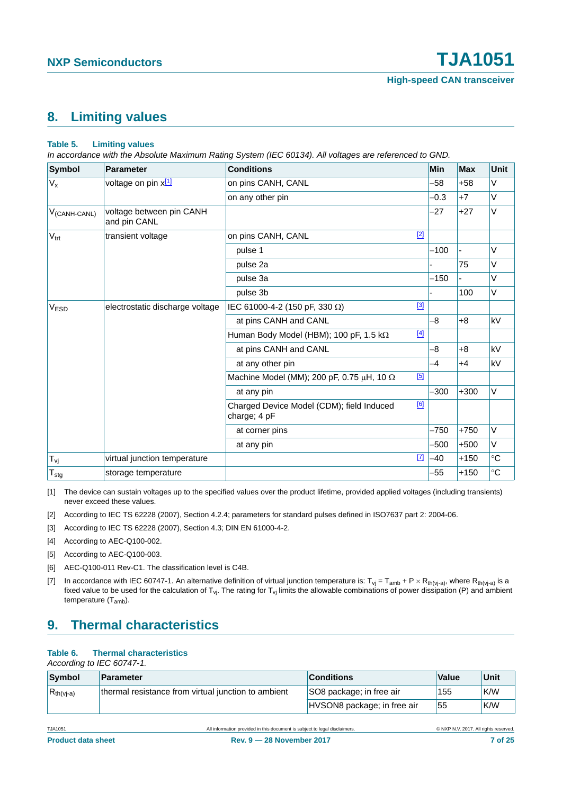## <span id="page-6-7"></span>**8. Limiting values**

#### **Table 5. Limiting values**

*In accordance with the Absolute Maximum Rating System (IEC 60134). All voltages are referenced to GND.*

| Symbol            | <b>Parameter</b>                         | <b>Conditions</b>                                                | <b>Min</b> | <b>Max</b> | <b>Unit</b> |
|-------------------|------------------------------------------|------------------------------------------------------------------|------------|------------|-------------|
| $V_{x}$           | voltage on pin x[1]                      | on pins CANH, CANL                                               | $-58$      | $+58$      | $\vee$      |
|                   |                                          | on any other pin                                                 | $-0.3$     | $+7$       | $\vee$      |
| $V_{(CANH-CANL)}$ | voltage between pin CANH<br>and pin CANL |                                                                  | $-27$      | $+27$      | V           |
| $V_{\text{trt}}$  | transient voltage                        | $[2]$<br>on pins CANH, CANL                                      |            |            |             |
|                   |                                          | pulse 1                                                          | $-100$     |            | V           |
|                   |                                          | pulse 2a                                                         |            | 75         | V           |
|                   |                                          | pulse 3a                                                         | $-150$     |            | $\vee$      |
|                   |                                          | pulse 3b                                                         |            | 100        | $\vee$      |
| V <sub>ESD</sub>  | electrostatic discharge voltage          | $[3]$<br>IEC 61000-4-2 (150 pF, 330 $\Omega$ )                   |            |            |             |
|                   |                                          | at pins CANH and CANL                                            | $-8$       | $+8$       | kV          |
|                   |                                          | $[4]$<br>Human Body Model (HBM); 100 pF, 1.5 k $\Omega$          |            |            |             |
|                   |                                          | at pins CANH and CANL                                            | -8         | $+8$       | kV          |
|                   |                                          | at any other pin                                                 | $-4$       | $+4$       | kV          |
|                   |                                          | [5]<br>Machine Model (MM); 200 pF, 0.75 $\mu$ H, 10 $\Omega$     |            |            |             |
|                   |                                          | at any pin                                                       | $-300$     | $+300$     | $\vee$      |
|                   |                                          | [6]<br>Charged Device Model (CDM); field Induced<br>charge; 4 pF |            |            |             |
|                   |                                          | at corner pins                                                   | $-750$     | $+750$     | V           |
|                   |                                          | at any pin                                                       | $-500$     | $+500$     | V           |
| $T_{\nu i}$       | virtual junction temperature             | $\boxed{7}$                                                      | -40        | $+150$     | $\circ$ C   |
| $T_{\text{stg}}$  | storage temperature                      |                                                                  | -55        | $+150$     | $^{\circ}C$ |

<span id="page-6-6"></span>[1] The device can sustain voltages up to the specified values over the product lifetime, provided applied voltages (including transients) never exceed these values.

<span id="page-6-5"></span>[2] According to IEC TS 62228 (2007), Section 4.2.4; parameters for standard pulses defined in ISO7637 part 2: 2004-06.

- <span id="page-6-0"></span>[3] According to IEC TS 62228 (2007), Section 4.3; DIN EN 61000-4-2.
- <span id="page-6-1"></span>[4] According to AEC-Q100-002.
- <span id="page-6-2"></span>[5] According to AEC-Q100-003.
- <span id="page-6-3"></span>[6] AEC-Q100-011 Rev-C1. The classification level is C4B.
- <span id="page-6-4"></span>[7] In accordance with IEC 60747-1. An alternative definition of virtual junction temperature is:  $T_{vj} = T_{amb} + P \times R_{th(vja)}$ , where  $R_{th(vja)}$  is a fixed value to be used for the calculation of  $T_{vj}$ . The rating for  $T_{vj}$  limits the allowable combinations of power dissipation (P) and ambient temperature (Tamb).

## <span id="page-6-8"></span>**9. Thermal characteristics**

#### **Table 6. Thermal characteristics**

*According to IEC 60747-1.*

| Symbol         | <b>Parameter</b>                                    | <b>Conditions</b>           | Value | Unit |
|----------------|-----------------------------------------------------|-----------------------------|-------|------|
| $R_{th(vj-a)}$ | thermal resistance from virtual junction to ambient | SO8 package; in free air    | 155   | K/W  |
|                |                                                     | HVSON8 package; in free air | 55    | K/W  |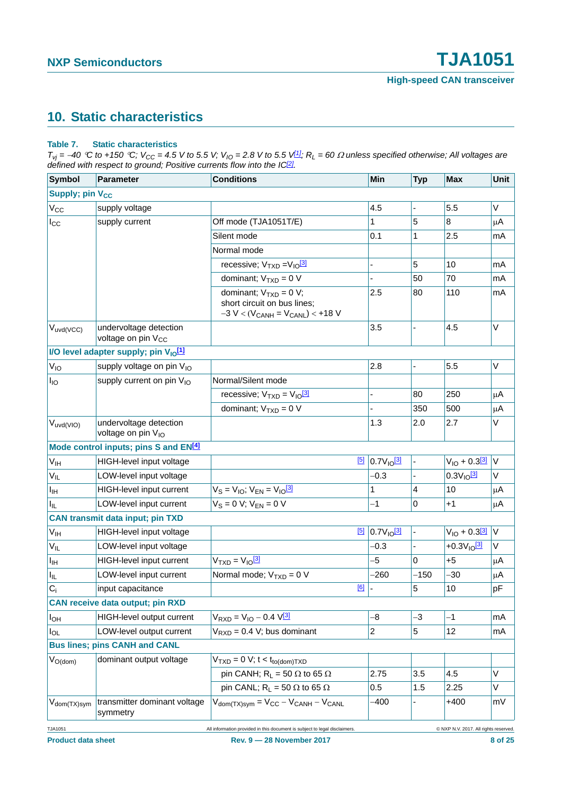## <span id="page-7-1"></span>**10. Static characteristics**

#### <span id="page-7-0"></span>**Table 7. Static characteristics**

 $T_{vj}$  = -40 °C to +150 °C;  $V_{CC}$  = 4.5 V to 5.5 V;  $V_{IO}$  = 2.8 V to 5.5 V<sup>[\[1\]](#page-9-0)</sup>;  $R_L$  = 60  $\Omega$  unless specified otherwise; All voltages are *defined with respect to ground; Positive currents flow into the IC[\[2\]](#page-9-1).*

| Symbol                      | <b>Parameter</b>                                                                                                   | <b>Conditions</b>                                                                                    | Min                     | <b>Typ</b>     | <b>Max</b>         | Unit    |  |  |
|-----------------------------|--------------------------------------------------------------------------------------------------------------------|------------------------------------------------------------------------------------------------------|-------------------------|----------------|--------------------|---------|--|--|
| Supply; pin V <sub>CC</sub> |                                                                                                                    |                                                                                                      |                         |                |                    |         |  |  |
| $V_{CC}$                    | supply voltage                                                                                                     |                                                                                                      | 4.5                     | ÷,             | 5.5                | $\vee$  |  |  |
| $I_{\rm CC}$                | supply current                                                                                                     | Off mode (TJA1051T/E)                                                                                | 1                       | 5              | 8                  | μA      |  |  |
|                             |                                                                                                                    | Silent mode                                                                                          | 0.1                     | 1              | 2.5                | mA      |  |  |
|                             |                                                                                                                    | Normal mode                                                                                          |                         |                |                    |         |  |  |
|                             |                                                                                                                    | recessive; $V_{TXD} = V_{10} \frac{3!}{2!}$                                                          | ÷,                      | 5              | 10                 | mA      |  |  |
|                             |                                                                                                                    | dominant; $V_{TXD} = 0 V$                                                                            |                         | 50             | 70                 | mA      |  |  |
|                             |                                                                                                                    | dominant; $V_{TXD} = 0 V$ ;<br>short circuit on bus lines;<br>$-3 V < (V_{CANH} = V_{CANL}) < +18 V$ | 2.5                     | 80             | 110                | mA      |  |  |
| $V_{uvd(VCC)}$              | undervoltage detection<br>voltage on pin V <sub>CC</sub>                                                           |                                                                                                      | 3.5                     | ä,             | 4.5                | $\vee$  |  |  |
|                             | I/O level adapter supply; pin V <sub>IO</sub> [1]                                                                  |                                                                                                      |                         |                |                    |         |  |  |
| $V_{IO}$                    | supply voltage on pin V <sub>IO</sub>                                                                              |                                                                                                      | 2.8                     | $\blacksquare$ | 5.5                | V       |  |  |
| $I_{IO}$                    | supply current on pin V <sub>IO</sub>                                                                              | Normal/Silent mode                                                                                   |                         |                |                    |         |  |  |
|                             |                                                                                                                    | recessive; $V_{TXD} = V_{10}^{3}$                                                                    |                         | 80             | 250                | μA      |  |  |
|                             |                                                                                                                    | dominant; $V_{TXD} = 0 V$                                                                            |                         | 350            | 500                | $\mu$ A |  |  |
| $V_{uvd(VIO)}$              | undervoltage detection<br>voltage on pin V <sub>IO</sub>                                                           |                                                                                                      | 1.3                     | 2.0            | 2.7                | V       |  |  |
|                             | Mode control inputs; pins S and EN <sup>[4]</sup>                                                                  |                                                                                                      |                         |                |                    |         |  |  |
| V <sub>IH</sub>             | HIGH-level input voltage                                                                                           | [5]                                                                                                  | $0.7V_{10}^{3}$         |                | $V_{1O} + 0.3^{3}$ | $\vee$  |  |  |
| $V_{IL}$                    | LOW-level input voltage                                                                                            |                                                                                                      | $-0.3$                  |                | $0.3V_{10}^{3}$    | $\vee$  |  |  |
| Iщ                          | HIGH-level input current                                                                                           | $V_S = V_{IO}$ ; $V_{EN} = V_{IO} \frac{3!}{2!}$                                                     | 1                       | 4              | 10                 | μA      |  |  |
| Hı.                         | LOW-level input current                                                                                            | $V_S = 0 V$ ; $V_{EN} = 0 V$                                                                         | $-1$                    | $\mathbf 0$    | +1                 | μA      |  |  |
|                             | <b>CAN transmit data input; pin TXD</b>                                                                            |                                                                                                      |                         |                |                    |         |  |  |
| V <sub>IH</sub>             | HIGH-level input voltage                                                                                           | [5]                                                                                                  | $0.7V10$ <sup>[3]</sup> |                | $V_{10} + 0.313$   | $\vee$  |  |  |
| $V_{IL}$                    | LOW-level input voltage                                                                                            |                                                                                                      | $-0.3$                  | ä,             | $+0.3V10$ [3]      | V       |  |  |
| $I_{\text{IH}}$             | HIGH-level input current                                                                                           | $VTXD = VIO31$                                                                                       | -5                      | $\mathbf 0$    | $+5$               | μA      |  |  |
| I <sub>IL</sub>             | LOW-level input current                                                                                            | Normal mode; $V_{TXD} = 0 V$                                                                         | -260                    | $-150$         | -30                | μA      |  |  |
| $C_i$                       | input capacitance                                                                                                  | [6]                                                                                                  |                         | 5              | 10                 | pF      |  |  |
|                             | <b>CAN receive data output; pin RXD</b>                                                                            |                                                                                                      |                         |                |                    |         |  |  |
| $I_{OH}$                    | HIGH-level output current                                                                                          | $V_{RXD} = V_{10} - 0.4 V^{3}$                                                                       | -8                      | -3             | -1                 | mA      |  |  |
| $I_{OL}$                    | LOW-level output current                                                                                           | $V_{RXD} = 0.4 V$ ; bus dominant                                                                     | 2                       | 5              | 12                 | mA      |  |  |
|                             | <b>Bus lines; pins CANH and CANL</b>                                                                               |                                                                                                      |                         |                |                    |         |  |  |
| $V_{O(dom)}$                | dominant output voltage                                                                                            | $V_{TXD} = 0$ V; t < t <sub>to(dom)</sub> T <sub>XD</sub>                                            |                         |                |                    |         |  |  |
|                             |                                                                                                                    | pin CANH; $R_L = 50 \Omega$ to 65 $\Omega$                                                           | 2.75                    | 3.5            | 4.5                | $\vee$  |  |  |
|                             |                                                                                                                    | pin CANL; R <sub>1</sub> = 50 $\Omega$ to 65 $\Omega$                                                | 0.5                     | 1.5            | 2.25               | V       |  |  |
| V <sub>dom</sub> (TX)sym    | transmitter dominant voltage<br>symmetry                                                                           | $V_{\text{dom(TX)sym}} = V_{CC} - V_{\text{CANH}} - V_{\text{CANL}}$                                 | -400                    |                | $+400$             | mV      |  |  |
| TJA1051                     | All information provided in this document is subject to legal disclaimers.<br>C NXP N.V. 2017. All rights reserved |                                                                                                      |                         |                |                    |         |  |  |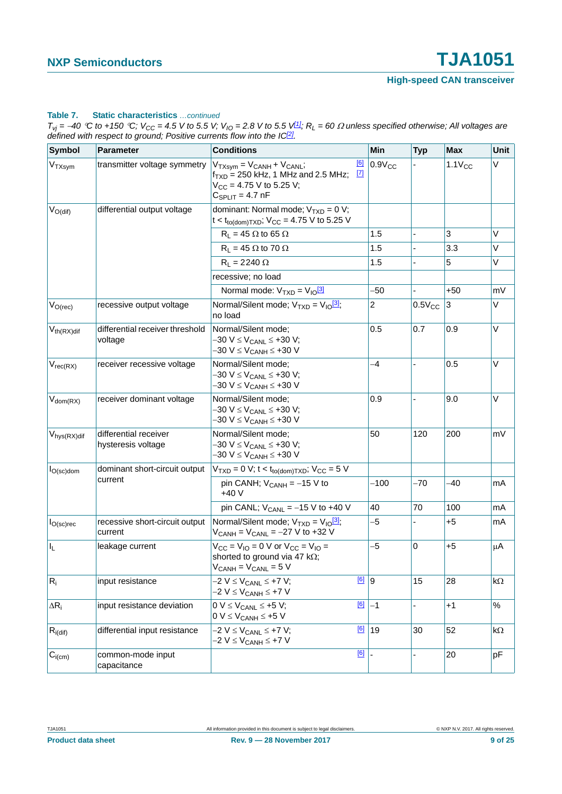#### **Table 7. Static characteristics** *…continued*

 $T_{vj}$  = -40 °C to +150 °C;  $V_{CC}$  = 4.5 V to 5.5 V;  $V_{IO}$  = 2.8 V to 5.5 V $1/1$ ;  $R_L$  = 60  $\Omega$  unless specified otherwise; All voltages are *defined with respect to ground; Positive currents flow into the IC<sup>[2]</sup>.* 

| <b>Symbol</b>                               | <b>Parameter</b>                            | <b>Conditions</b>                                                                                                                                           | Min            | <b>Typ</b>     | <b>Max</b>  | Unit |
|---------------------------------------------|---------------------------------------------|-------------------------------------------------------------------------------------------------------------------------------------------------------------|----------------|----------------|-------------|------|
| $V_{TXsym}$                                 | transmitter voltage symmetry                | [6]<br>$V_{TXsvm} = V_{CANH} + V_{CANL};$<br>$\boxed{7}$<br>$f_{TXD}$ = 250 kHz, 1 MHz and 2.5 MHz;<br>$V_{CC}$ = 4.75 V to 5.25 V;<br>$C_{SPLIT}$ = 4.7 nF | $0.9V_{CC}$    |                | $1.1V_{CC}$ | V    |
| $V_{O(dif)}$                                | differential output voltage                 | dominant: Normal mode; $V_{TXD} = 0 V$ ;<br>$t < t_{to(dom)TXD}$ ; $V_{CC} = 4.75$ V to 5.25 V                                                              |                |                |             |      |
|                                             |                                             | $R_L$ = 45 $\Omega$ to 65 $\Omega$                                                                                                                          | 1.5            |                | 3           | V    |
|                                             |                                             | $R_L$ = 45 $\Omega$ to 70 $\Omega$                                                                                                                          | 1.5            | $\blacksquare$ | 3.3         | V    |
|                                             |                                             | $R_L = 2240 \Omega$                                                                                                                                         | 1.5            |                | 5           | V    |
|                                             |                                             | recessive; no load                                                                                                                                          |                |                |             |      |
|                                             |                                             | Normal mode: $V_{TXD} = V_{10}^{3}$                                                                                                                         | -50            |                | $+50$       | mV   |
| $V_{O(rec)}$                                | recessive output voltage                    | Normal/Silent mode; $V_{TXD} = V_{10}^{3}$ ;<br>no load                                                                                                     | $\overline{2}$ | $0.5V_{CC}$    | 3           | V    |
| $V_{th(RX)diff}$                            | differential receiver threshold<br>voltage  | Normal/Silent mode;<br>-30 V ≤ V <sub>CANL</sub> ≤ +30 V;<br>-30 V ≤ V <sub>CANH</sub> ≤ +30 V                                                              | 0.5            | 0.7            | 0.9         | V    |
| $V_{rec(RX)}$                               | receiver recessive voltage                  | Normal/Silent mode;<br>$-30$ V $\leq$ V <sub>CANL</sub> $\leq$ +30 V;<br>-30 V ≤ V <sub>CANH</sub> ≤ +30 V                                                  | $-4$           |                | 0.5         | V    |
| $V_{dom(RX)}$                               | receiver dominant voltage                   | Normal/Silent mode;<br>$-30$ V $\leq$ V <sub>CANL</sub> $\leq$ +30 V;<br>-30 V ≤ V <sub>CANH</sub> ≤ +30 V                                                  | 0.9            |                | 9.0         | V    |
| $V_{\mathsf{hys}(\mathsf{RX})\mathsf{dif}}$ | differential receiver<br>hysteresis voltage | Normal/Silent mode;<br>-30 V ≤ V <sub>CANL</sub> ≤ +30 V;<br>–30 V ≤ V <sub>CANH</sub> ≤ +30 V                                                              | 50             | 120            | 200         | mV   |
| $I_{O(\text{sc})$ dom                       | dominant short-circuit output               | $V_{TXD} = 0$ V; t < $t_{to(dom)TXD}$ ; V <sub>CC</sub> = 5 V                                                                                               |                |                |             |      |
|                                             | current                                     | pin CANH; $V_{CANH} = -15 V$ to<br>$+40V$                                                                                                                   | $-100$         | $-70$          | $-40$       | mA   |
|                                             |                                             | pin CANL; $V_{CANL} = -15 V$ to +40 V                                                                                                                       | 40             | 70             | 100         | mA   |
| $I_{O(\text{sc})\text{rec}}$                | recessive short-circuit output<br>current   | Normal/Silent mode; $V_{TXD} = V_{10}^{3}$ ;<br>$V_{CANH} = V_{CANL} = -27 V$ to +32 V                                                                      | $-5$           |                | $+5$        | mA   |
| $\mathsf{l}_\mathsf{L}$                     | leakage current                             | $V_{CC} = V_{IO} = 0$ V or $V_{CC} = V_{IO} =$<br>shorted to ground via 47 k $\Omega$ ;<br>$V_{CANH} = V_{CANL} = 5 V$                                      | $-5$           | $\mathbf 0$    | $+5$        | μA   |
| $R_i$                                       | input resistance                            | $[6]$ 9<br>-2 V ≤ V <sub>CANL</sub> ≤ +7 V;<br>-2 V ≤ V <sub>CANH</sub> ≤ +7 V                                                                              |                | 15             | 28          | kΩ   |
| $\Delta R_i$                                | input resistance deviation                  | [6]<br>$0 V \leq V_{CANL} \leq +5 V$ ;<br>$0 V \leq V_{CANH} \leq +5 V$                                                                                     | $-1$           | ÷.             | $+1$        | $\%$ |
| $R_{i(\text{dif})}$                         | differential input resistance               | $-2 V \leq V_{CANL} \leq +7 V;$<br>$-2$ V $\leq$ V <sub>CANH</sub> $\leq$ +7 V                                                                              | $\boxed{6}$ 19 | 30             | 52          | kΩ   |
| $C_{i(cm)}$                                 | common-mode input<br>capacitance            | [6]                                                                                                                                                         |                |                | 20          | pF   |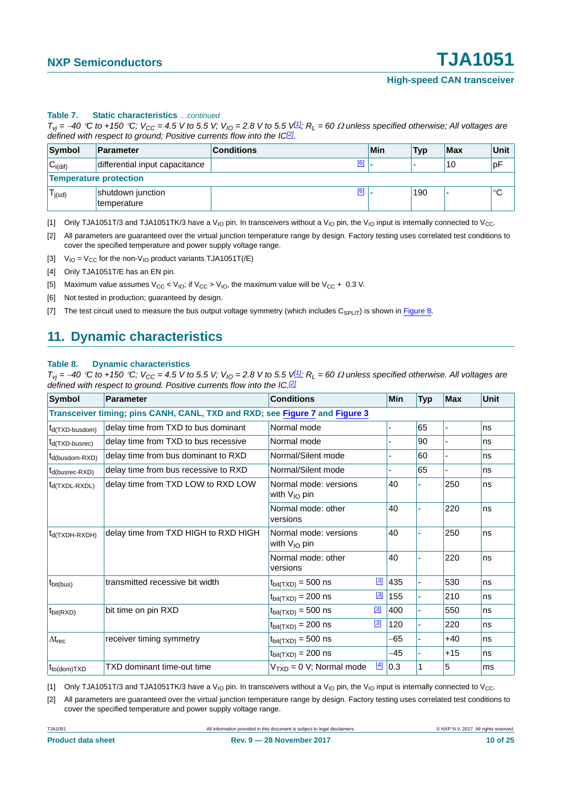#### **Table 7. Static characteristics** *…continued*

 $T_{Vj}$  = -40 °C to +150 °C;  $V_{CC}$  = 4.5 V to 5.5 V;  $V_{IO}$  = 2.8 V to 5.5 V $1/1$ ;  $R_L$  = 60  $\Omega$  unless specified otherwise; All voltages are *defined with respect to ground; Positive currents flow into the IC<sup>[2]</sup>.* 

| Symbol                        | <b>Parameter</b>                 | <b>Conditions</b> | Min | <b>Typ</b> | Max | Unit |  |  |
|-------------------------------|----------------------------------|-------------------|-----|------------|-----|------|--|--|
| $C_{i(\text{dif})}$           | differential input capacitance   | [6]               |     |            | 10  | pF   |  |  |
| <b>Temperature protection</b> |                                  |                   |     |            |     |      |  |  |
| l j(sd)                       | shutdown junction<br>temperature | [6]               |     | 190        |     | °C   |  |  |

<span id="page-9-0"></span>[1] Only TJA1051T/3 and TJA1051TK/3 have a V<sub>IO</sub> pin. In transceivers without a V<sub>IO</sub> pin, the V<sub>IO</sub> input is internally connected to V<sub>CC</sub>.

<span id="page-9-1"></span>[2] All parameters are guaranteed over the virtual junction temperature range by design. Factory testing uses correlated test conditions to cover the specified temperature and power supply voltage range.

<span id="page-9-2"></span>[3]  $V_{IO} = V_{CC}$  for the non-V<sub>IO</sub> product variants TJA1051T(/E)

<span id="page-9-3"></span>[4] Only TJA1051T/E has an EN pin.

- <span id="page-9-4"></span>[5] Maximum value assumes  $V_{CC}$  <  $V_{IO}$ ; if  $V_{CC}$  >  $V_{IO}$ , the maximum value will be  $V_{CC}$  + 0.3 V.
- <span id="page-9-5"></span>[6] Not tested in production; guaranteed by design.
- <span id="page-9-6"></span>[7] The test circuit used to measure the bus output voltage symmetry (which includes  $C_{\text{SPL}}(T)$  is shown in [Figure 8](#page-13-0).

### <span id="page-9-10"></span>**11. Dynamic characteristics**

#### <span id="page-9-9"></span>**Table 8. Dynamic characteristics**

*T<sub>vj</sub>* =  $-40$  °C to +150 °C;  $V_{CC}$  = 4.5 V to 5.5 V;  $V_{IO}$  = 2.8 V to 5.5 V<sup>[\[1\]](#page-9-7)</sup>*;*  $R_L$  = 60  $\Omega$  unless specified otherwise. All voltages are *defined with respect to ground. Positive currents flow into the IC.<sup>[2]</sup>* 

| <b>Symbol</b>                                | Parameter                                                                   | <b>Conditions</b>                          |          | Min | <b>Typ</b> | <b>Max</b>               | <b>Unit</b> |
|----------------------------------------------|-----------------------------------------------------------------------------|--------------------------------------------|----------|-----|------------|--------------------------|-------------|
|                                              | Transceiver timing; pins CANH, CANL, TXD and RXD; see Figure 7 and Figure 3 |                                            |          |     |            |                          |             |
| $t_{d(TXD-busdom)}$                          | delay time from TXD to bus dominant                                         | Normal mode                                |          |     | 65         |                          | ns          |
| $t_{d(TXD-busrec)}$                          | delay time from TXD to bus recessive                                        | Normal mode                                |          |     | 90         |                          | ns          |
| t <sub>d</sub> (busdom-RXD)                  | delay time from bus dominant to RXD                                         | Normal/Silent mode                         |          |     | 60         | $\overline{\phantom{0}}$ | ns          |
| $t_{d(busrec-RXD)}$                          | delay time from bus recessive to RXD                                        | Normal/Silent mode                         | ۰.       |     | 65         | $\overline{\phantom{0}}$ | ns          |
| $t_{d(TXDL-RXDL)}$                           | delay time from TXD LOW to RXD LOW                                          | Normal mode: versions<br>with $V_{IO}$ pin |          | 40  |            | 250                      | ns          |
|                                              |                                                                             | Normal mode: other<br>versions             |          | 40  |            | 220                      | ns          |
| $t_{d(TXDH-RXDH)}$                           | delay time from TXD HIGH to RXD HIGH                                        | Normal mode: versions<br>with $V_{IO}$ pin |          | 40  |            | 250                      | ns          |
|                                              |                                                                             | Normal mode: other<br>versions             |          | 40  |            | 220                      | ns          |
| t <sub>bit(bus)</sub>                        | transmitted recessive bit width                                             | $t_{\text{bit(TXD)}}$ = 500 ns             | $[3]$    | 435 | ä,         | 530                      | ns          |
|                                              |                                                                             | $t_{\text{bit(TXD)}}$ = 200 ns             | $[3]$    | 155 |            | 210                      | ns          |
| $t_{\text{bit(RXD)}}$                        | bit time on pin RXD                                                         | $t_{\text{bit(TXD)}} = 500$ ns             | $[3]$    | 400 |            | 550                      | ns          |
|                                              |                                                                             | $t_{\text{bit(TXD)}} = 200$ ns             | $^{[3]}$ | 120 | ÷,         | 220                      | ns          |
| $\Delta t_{rec}$                             | receiver timing symmetry                                                    | $t_{\text{bit(TXD)}} = 500$ ns             |          | -65 |            | $+40$                    | ns          |
|                                              |                                                                             | $t_{bit(TXD)} = 200$ ns                    |          | -45 |            | $+15$                    | ns          |
| $t_{\text{to}(\text{dom})\text{T}X\text{D}}$ | TXD dominant time-out time                                                  | $VTXD = 0 V; Normal mode$                  | $[4]$    | 0.3 |            | 5                        | ms          |

<span id="page-9-7"></span>[1] Only TJA1051T/3 and TJA1051TK/3 have a V<sub>IO</sub> pin. In transceivers without a V<sub>IO</sub> pin, the V<sub>IO</sub> input is internally connected to V<sub>CC</sub>.

<span id="page-9-8"></span>[2] All parameters are guaranteed over the virtual junction temperature range by design. Factory testing uses correlated test conditions to cover the specified temperature and power supply voltage range.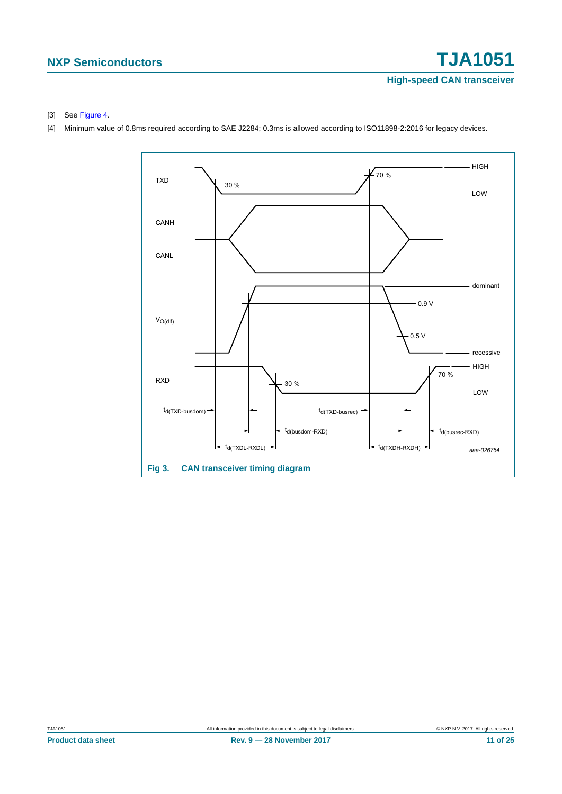#### <span id="page-10-2"></span>[3] See [Figure 4.](#page-11-0)

<span id="page-10-1"></span>[4] Minimum value of 0.8ms required according to SAE J2284; 0.3ms is allowed according to ISO11898-2:2016 for legacy devices.

<span id="page-10-0"></span>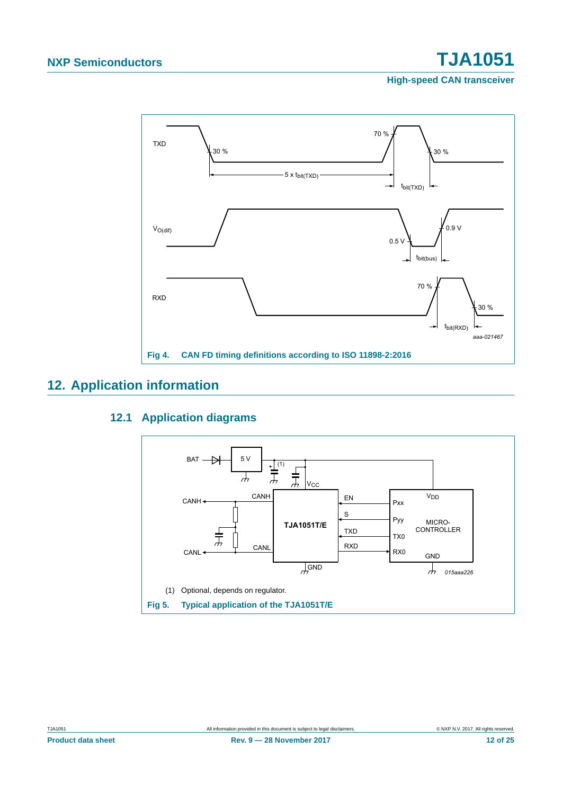

## <span id="page-11-3"></span><span id="page-11-2"></span>**12. Application information**

### <span id="page-11-0"></span>**12.1 Application diagrams**

<span id="page-11-1"></span>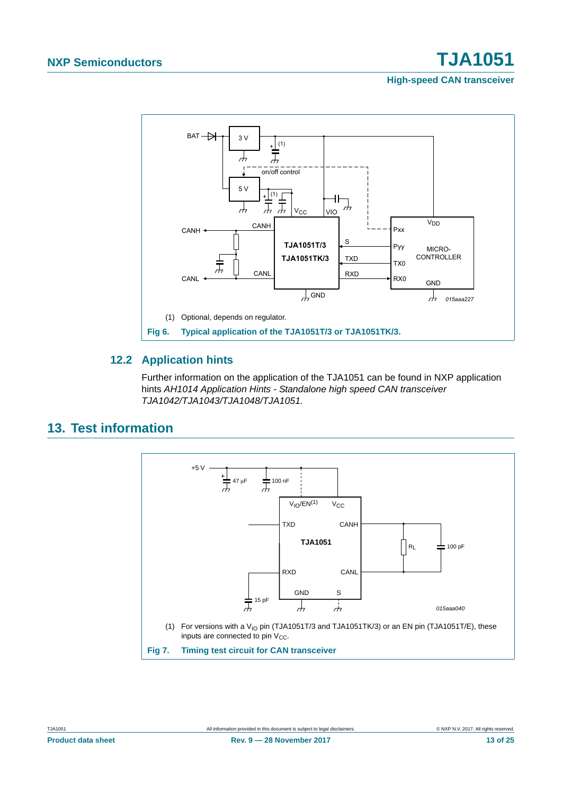# **NXP Semiconductors TJA1051**

**High-speed CAN transceiver**



### <span id="page-12-2"></span><span id="page-12-0"></span>**12.2 Application hints**

Further information on the application of the TJA1051 can be found in NXP application hints *AH1014 Application Hints - Standalone high speed CAN transceiver TJA1042/TJA1043/TJA1048/TJA1051.*

## <span id="page-12-3"></span>**13. Test information**



<span id="page-12-1"></span>**Product data sheet Rev. 9 — 28 November 2017 Rev. 9 — 28 November 2017 13 of 25**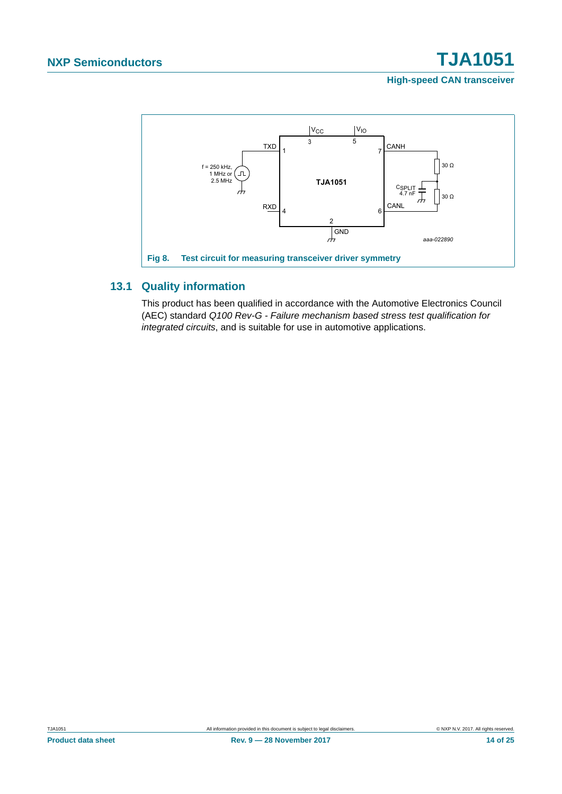

## <span id="page-13-1"></span><span id="page-13-0"></span>**13.1 Quality information**

This product has been qualified in accordance with the Automotive Electronics Council (AEC) standard *Q100 Rev-G - Failure mechanism based stress test qualification for integrated circuits*, and is suitable for use in automotive applications.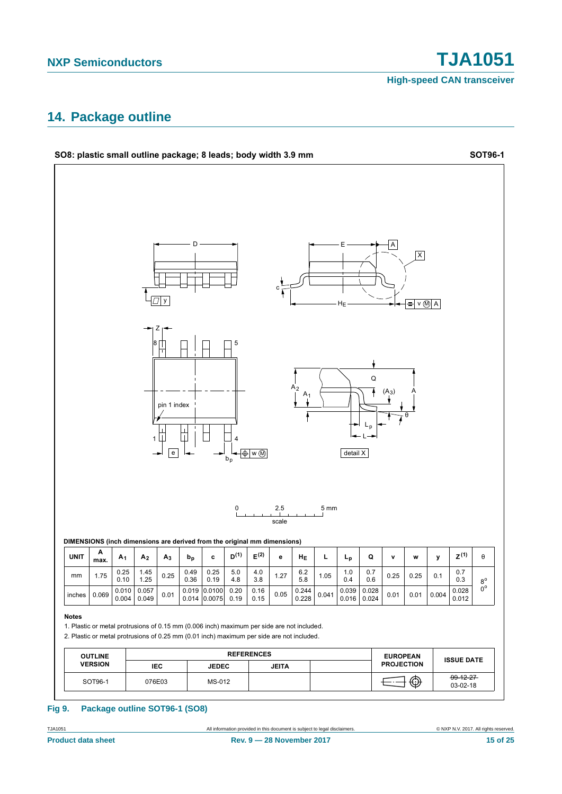## <span id="page-14-0"></span>**14. Package outline**

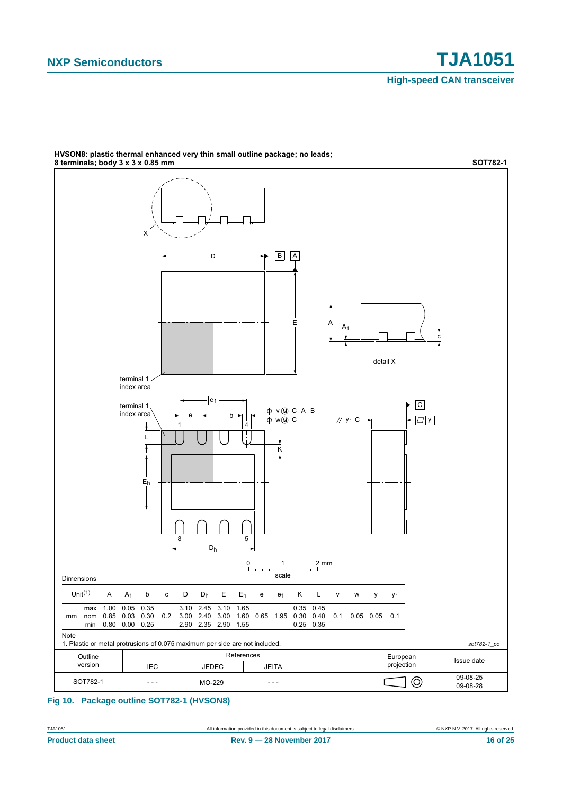

**HVSON8: plastic thermal enhanced very thin small outline package; no leads;** 

#### **Fig 10. Package outline SOT782-1 (HVSON8)**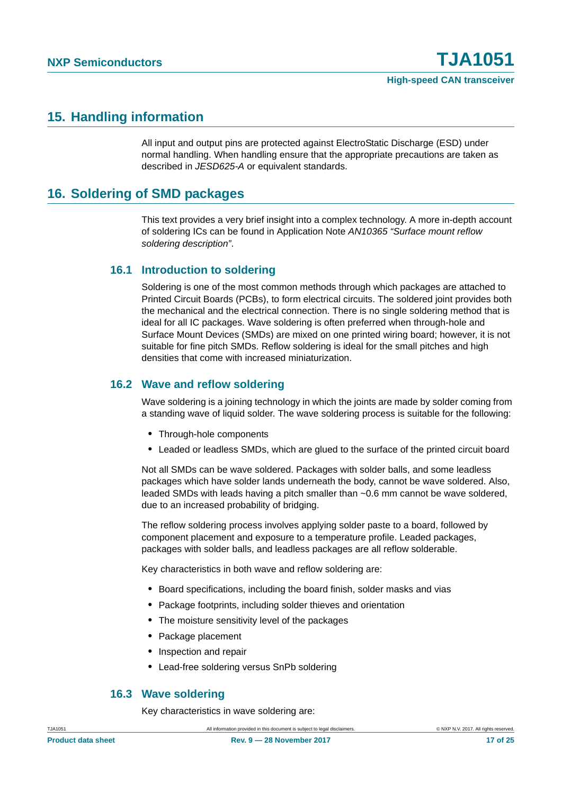## <span id="page-16-0"></span>**15. Handling information**

All input and output pins are protected against ElectroStatic Discharge (ESD) under normal handling. When handling ensure that the appropriate precautions are taken as described in *JESD625-A* or equivalent standards.

## <span id="page-16-1"></span>**16. Soldering of SMD packages**

This text provides a very brief insight into a complex technology. A more in-depth account of soldering ICs can be found in Application Note *AN10365 "Surface mount reflow soldering description"*.

### <span id="page-16-2"></span>**16.1 Introduction to soldering**

Soldering is one of the most common methods through which packages are attached to Printed Circuit Boards (PCBs), to form electrical circuits. The soldered joint provides both the mechanical and the electrical connection. There is no single soldering method that is ideal for all IC packages. Wave soldering is often preferred when through-hole and Surface Mount Devices (SMDs) are mixed on one printed wiring board; however, it is not suitable for fine pitch SMDs. Reflow soldering is ideal for the small pitches and high densities that come with increased miniaturization.

### <span id="page-16-3"></span>**16.2 Wave and reflow soldering**

Wave soldering is a joining technology in which the joints are made by solder coming from a standing wave of liquid solder. The wave soldering process is suitable for the following:

- **•** Through-hole components
- **•** Leaded or leadless SMDs, which are glued to the surface of the printed circuit board

Not all SMDs can be wave soldered. Packages with solder balls, and some leadless packages which have solder lands underneath the body, cannot be wave soldered. Also, leaded SMDs with leads having a pitch smaller than ~0.6 mm cannot be wave soldered, due to an increased probability of bridging.

The reflow soldering process involves applying solder paste to a board, followed by component placement and exposure to a temperature profile. Leaded packages, packages with solder balls, and leadless packages are all reflow solderable.

Key characteristics in both wave and reflow soldering are:

- **•** Board specifications, including the board finish, solder masks and vias
- **•** Package footprints, including solder thieves and orientation
- **•** The moisture sensitivity level of the packages
- **•** Package placement
- **•** Inspection and repair
- **•** Lead-free soldering versus SnPb soldering

#### <span id="page-16-4"></span>**16.3 Wave soldering**

Key characteristics in wave soldering are: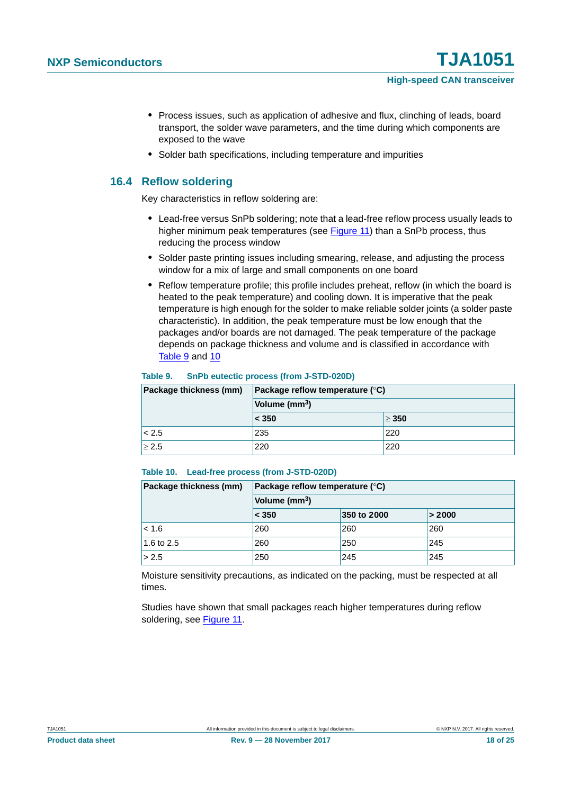- **•** Process issues, such as application of adhesive and flux, clinching of leads, board transport, the solder wave parameters, and the time during which components are exposed to the wave
- **•** Solder bath specifications, including temperature and impurities

### <span id="page-17-2"></span>**16.4 Reflow soldering**

Key characteristics in reflow soldering are:

- **•** Lead-free versus SnPb soldering; note that a lead-free reflow process usually leads to higher minimum peak temperatures (see [Figure 11\)](#page-18-0) than a SnPb process, thus reducing the process window
- **•** Solder paste printing issues including smearing, release, and adjusting the process window for a mix of large and small components on one board
- **•** Reflow temperature profile; this profile includes preheat, reflow (in which the board is heated to the peak temperature) and cooling down. It is imperative that the peak temperature is high enough for the solder to make reliable solder joints (a solder paste characteristic). In addition, the peak temperature must be low enough that the packages and/or boards are not damaged. The peak temperature of the package depends on package thickness and volume and is classified in accordance with [Table 9](#page-17-0) and [10](#page-17-1)

#### <span id="page-17-0"></span>**Table 9. SnPb eutectic process (from J-STD-020D)**

| Package thickness (mm) | Package reflow temperature $(^\circ \text{C})$<br>Volume (mm <sup>3</sup> ) |            |  |  |  |
|------------------------|-----------------------------------------------------------------------------|------------|--|--|--|
|                        |                                                                             |            |  |  |  |
|                        | $\leq 350$                                                                  | $\geq 350$ |  |  |  |
| < 2.5                  | 235                                                                         | 220        |  |  |  |
| $\geq 2.5$             | 220                                                                         | 220        |  |  |  |

#### <span id="page-17-1"></span>**Table 10. Lead-free process (from J-STD-020D)**

| Package thickness (mm) | Package reflow temperature $(^\circ \mathsf{C})$ |             |        |  |
|------------------------|--------------------------------------------------|-------------|--------|--|
|                        | Volume (mm <sup>3</sup> )                        |             |        |  |
|                        | < 350                                            | 350 to 2000 | > 2000 |  |
| $ $ < 1.6              | 260                                              | 260         | 260    |  |
| 1.6 to 2.5             | 260                                              | 250         | 245    |  |
| > 2.5                  | 250                                              | 245         | 245    |  |

Moisture sensitivity precautions, as indicated on the packing, must be respected at all times.

Studies have shown that small packages reach higher temperatures during reflow soldering, see [Figure 11.](#page-18-0)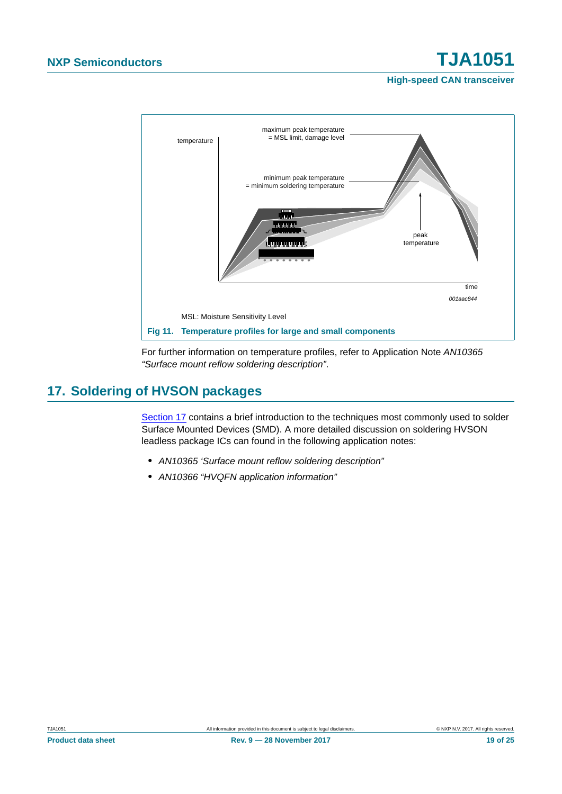

<span id="page-18-0"></span>For further information on temperature profiles, refer to Application Note *AN10365 "Surface mount reflow soldering description"*.

## <span id="page-18-1"></span>**17. Soldering of HVSON packages**

[Section 17](#page-18-1) contains a brief introduction to the techniques most commonly used to solder Surface Mounted Devices (SMD). A more detailed discussion on soldering HVSON leadless package ICs can found in the following application notes:

- **•** *AN10365 'Surface mount reflow soldering description"*
- **•** *AN10366 "HVQFN application information"*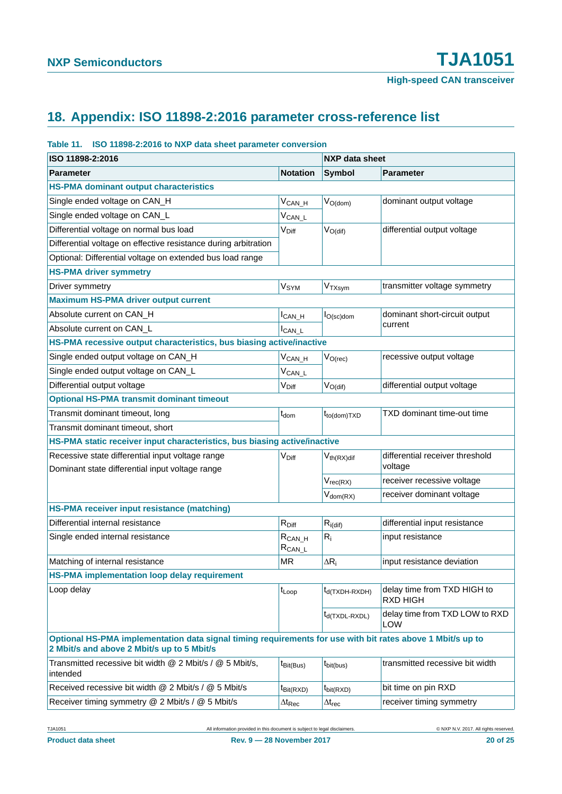# <span id="page-19-0"></span>**18. Appendix: ISO 11898-2:2016 parameter cross-reference list**

#### **Table 11. ISO 11898-2:2016 to NXP data sheet parameter conversion**

| ISO 11898-2:2016                                                                                                                                         | <b>NXP data sheet</b>       |                                                        |                                              |
|----------------------------------------------------------------------------------------------------------------------------------------------------------|-----------------------------|--------------------------------------------------------|----------------------------------------------|
| <b>Parameter</b>                                                                                                                                         | <b>Notation</b>             | <b>Symbol</b>                                          | <b>Parameter</b>                             |
| <b>HS-PMA dominant output characteristics</b>                                                                                                            |                             |                                                        |                                              |
| Single ended voltage on CAN_H                                                                                                                            | $V_{CAN_H}$                 | $V_{O(dom)}$                                           | dominant output voltage                      |
| Single ended voltage on CAN_L                                                                                                                            | $V_{CAN\_L}$                |                                                        |                                              |
| Differential voltage on normal bus load                                                                                                                  | V <sub>Diff</sub>           | $V_{O(dif)}$                                           | differential output voltage                  |
| Differential voltage on effective resistance during arbitration                                                                                          |                             |                                                        |                                              |
| Optional: Differential voltage on extended bus load range                                                                                                |                             |                                                        |                                              |
| <b>HS-PMA driver symmetry</b>                                                                                                                            |                             |                                                        |                                              |
| Driver symmetry                                                                                                                                          | <b>V<sub>SYM</sub></b>      | $V_{TXsym}$                                            | transmitter voltage symmetry                 |
| <b>Maximum HS-PMA driver output current</b>                                                                                                              |                             |                                                        |                                              |
| Absolute current on CAN_H                                                                                                                                | $I_{CAN_H}$                 | dominant short-circuit output<br>$I_{O(\text{sc})$ dom |                                              |
| Absolute current on CAN_L                                                                                                                                | $I_{CAN\_L}$                |                                                        | current                                      |
| HS-PMA recessive output characteristics, bus biasing active/inactive                                                                                     |                             |                                                        |                                              |
| Single ended output voltage on CAN_H                                                                                                                     | $V_{CAN_H}$                 | $V_{O(rec)}$                                           | recessive output voltage                     |
| Single ended output voltage on CAN_L                                                                                                                     | $V_{CAN\_L}$                |                                                        |                                              |
| Differential output voltage                                                                                                                              | V <sub>Diff</sub>           | $V_{O(di)}$                                            | differential output voltage                  |
| <b>Optional HS-PMA transmit dominant timeout</b>                                                                                                         |                             |                                                        |                                              |
| Transmit dominant timeout, long                                                                                                                          | $t_{\mathsf{dom}}$          | $t_{to (dom)TXD}$                                      | TXD dominant time-out time                   |
| Transmit dominant timeout, short                                                                                                                         |                             |                                                        |                                              |
| HS-PMA static receiver input characteristics, bus biasing active/inactive                                                                                |                             |                                                        |                                              |
| Recessive state differential input voltage range                                                                                                         | V <sub>Diff</sub>           | $V_{th(RX)$ dif                                        | differential receiver threshold              |
| Dominant state differential input voltage range                                                                                                          |                             |                                                        | voltage                                      |
|                                                                                                                                                          |                             | $V_{rec(RX)}$                                          | receiver recessive voltage                   |
|                                                                                                                                                          |                             | $V_{dom(RX)}$                                          | receiver dominant voltage                    |
| HS-PMA receiver input resistance (matching)                                                                                                              |                             |                                                        |                                              |
| Differential internal resistance                                                                                                                         | $R_{Diff}$                  | $R_{i\text{(dif)}}$                                    | differential input resistance                |
| Single ended internal resistance                                                                                                                         | $R_{CAN_H}$<br>$R_{CAN\_L}$ | $R_i$                                                  | input resistance                             |
| Matching of internal resistance                                                                                                                          | <b>MR</b>                   | $\Delta R_i$                                           | input resistance deviation                   |
| <b>HS-PMA implementation loop delay requirement</b>                                                                                                      |                             |                                                        |                                              |
| Loop delay                                                                                                                                               | t <sub>Loop</sub>           | t <sub>d</sub> (TXDH-RXDH)                             | delay time from TXD HIGH to<br>RXD HIGH      |
|                                                                                                                                                          |                             | $t_{d(TXDL-RXDL)}$                                     | delay time from TXD LOW to RXD<br><b>LOW</b> |
| Optional HS-PMA implementation data signal timing requirements for use with bit rates above 1 Mbit/s up to<br>2 Mbit/s and above 2 Mbit/s up to 5 Mbit/s |                             |                                                        |                                              |
| Transmitted recessive bit width @ 2 Mbit/s / @ 5 Mbit/s,<br>intended                                                                                     | $t_{\text{Bit(Bus)}}$       | $t_{\text{bit(bus)}}$                                  | transmitted recessive bit width              |
| Received recessive bit width @ 2 Mbit/s / @ 5 Mbit/s                                                                                                     | $t_{\text{Bit(RXD)}}$       | $t_{\text{bit(RXD)}}$                                  | bit time on pin RXD                          |
| Receiver timing symmetry @ 2 Mbit/s / @ 5 Mbit/s                                                                                                         | $\Delta t_\text{Rec}$       | $\Delta t_{rec}$                                       | receiver timing symmetry                     |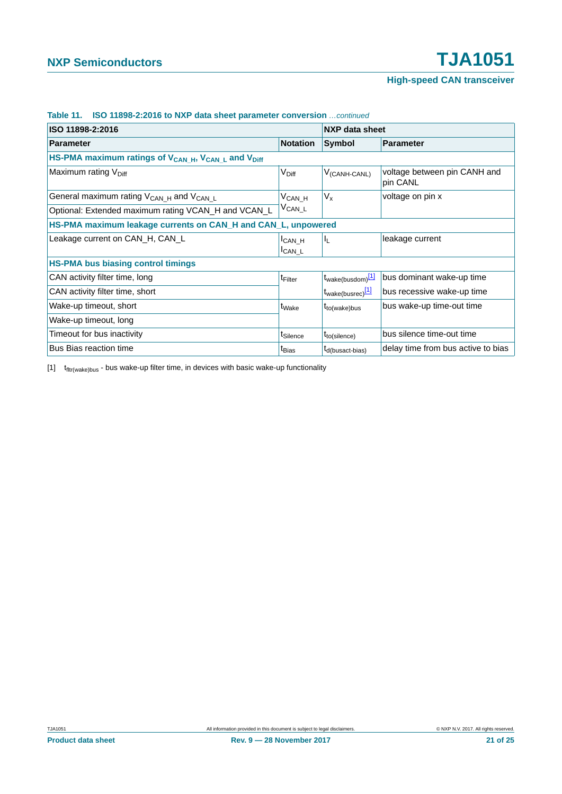| ISO 11898-2:2016                                                                        |                                     | NXP data sheet                |                                          |  |
|-----------------------------------------------------------------------------------------|-------------------------------------|-------------------------------|------------------------------------------|--|
| <b>Parameter</b>                                                                        | <b>Notation</b>                     | Symbol                        | Parameter                                |  |
| HS-PMA maximum ratings of V <sub>CAN_H</sub> , V <sub>CAN_L</sub> and V <sub>Diff</sub> |                                     |                               |                                          |  |
| Maximum rating V <sub>Diff</sub>                                                        | V <sub>Diff</sub>                   | $V_{(CANH-CANL)}$             | voltage between pin CANH and<br>pin CANL |  |
| General maximum rating $V_{CAN H}$ and $V_{CAN L}$                                      | $V_{CAN_H}$                         | $V_{x}$                       | voltage on pin x                         |  |
| Optional: Extended maximum rating VCAN_H and VCAN_L                                     | $V_{CAN\_L}$                        |                               |                                          |  |
| HS-PMA maximum leakage currents on CAN_H and CAN_L, unpowered                           |                                     |                               |                                          |  |
| Leakage current on CAN_H, CAN_L                                                         | <sup>I</sup> CAN H<br><b>ICAN L</b> | IL.                           | leakage current                          |  |
| <b>HS-PMA bus biasing control timings</b>                                               |                                     |                               |                                          |  |
| CAN activity filter time, long                                                          | t <sub>Filter</sub>                 | t <sub>wake(busdom)</sub> [1] | bus dominant wake-up time                |  |
| CAN activity filter time, short                                                         |                                     | t <sub>wake(busrec)</sub> [1] | bus recessive wake-up time               |  |
| Wake-up timeout, short                                                                  | t <sub>Wake</sub>                   | $t_{to(wake)bus}$             | bus wake-up time-out time                |  |
| Wake-up timeout, long                                                                   |                                     |                               |                                          |  |
| Timeout for bus inactivity                                                              | t <sub>Silence</sub>                | $t_{to(silence)}$             | bus silence time-out time                |  |
| Bus Bias reaction time                                                                  | t <sub>Bias</sub>                   | $t_{d(busact-bias)}$          | delay time from bus active to bias       |  |

#### **Table 11. ISO 11898-2:2016 to NXP data sheet parameter conversion** *…continued*

<span id="page-20-0"></span> $[1]$   $t$ <sub>fltr(wake)bus</sub> - bus wake-up filter time, in devices with basic wake-up functionality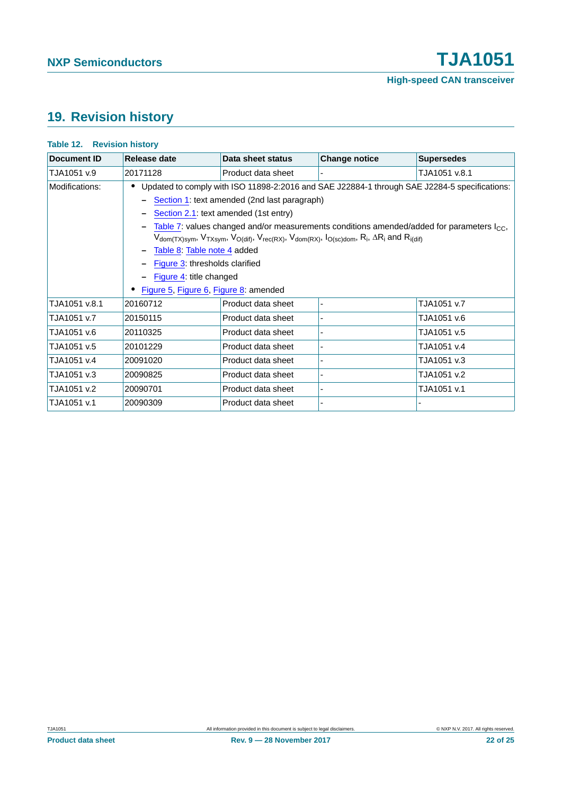## <span id="page-21-0"></span>**19. Revision history**

| <b>Document ID</b> | Release date                                                                                                                                                                                                                                                                                                     | Data sheet status  | <b>Change notice</b> | <b>Supersedes</b>                                                                            |
|--------------------|------------------------------------------------------------------------------------------------------------------------------------------------------------------------------------------------------------------------------------------------------------------------------------------------------------------|--------------------|----------------------|----------------------------------------------------------------------------------------------|
| TJA1051 v.9        | 20171128                                                                                                                                                                                                                                                                                                         | Product data sheet |                      | TJA1051 v.8.1                                                                                |
| Modifications:     |                                                                                                                                                                                                                                                                                                                  |                    |                      | Updated to comply with ISO 11898-2:2016 and SAE J22884-1 through SAE J2284-5 specifications: |
|                    | - Section 1: text amended (2nd last paragraph)                                                                                                                                                                                                                                                                   |                    |                      |                                                                                              |
|                    | Section 2.1: text amended (1st entry)                                                                                                                                                                                                                                                                            |                    |                      |                                                                                              |
|                    | Table 7: values changed and/or measurements conditions amended/added for parameters $I_{\text{CC}}$ ,<br>$V_{dom(TX)sym}$ , $V_{TXsym}$ , $V_{O(dif)}$ , $V_{rec(RX)}$ , $V_{dom(RX)}$ , $I_{O(sc)dom}$ , $R_i$ , $\Delta R_i$ and $R_{i(dif)}$<br>Table 8: Table note 4 added<br>Figure 3: thresholds clarified |                    |                      |                                                                                              |
|                    |                                                                                                                                                                                                                                                                                                                  |                    |                      |                                                                                              |
|                    |                                                                                                                                                                                                                                                                                                                  |                    |                      |                                                                                              |
|                    |                                                                                                                                                                                                                                                                                                                  |                    |                      |                                                                                              |
|                    | Figure 4: title changed                                                                                                                                                                                                                                                                                          |                    |                      |                                                                                              |
|                    | Figure 5, Figure 6, Figure 8: amended                                                                                                                                                                                                                                                                            |                    |                      |                                                                                              |
| TJA1051 v.8.1      | 20160712                                                                                                                                                                                                                                                                                                         | Product data sheet |                      | TJA1051 v.7                                                                                  |
| TJA1051 v.7        | 20150115                                                                                                                                                                                                                                                                                                         | Product data sheet |                      | TJA1051 v.6                                                                                  |
| TJA1051 v.6        | 20110325                                                                                                                                                                                                                                                                                                         | Product data sheet |                      | TJA1051 v.5                                                                                  |
| TJA1051 v.5        | 20101229                                                                                                                                                                                                                                                                                                         | Product data sheet |                      | TJA1051 v.4                                                                                  |
| TJA1051 v.4        | 20091020                                                                                                                                                                                                                                                                                                         | Product data sheet |                      | TJA1051 v.3                                                                                  |
| TJA1051 v.3        | 20090825                                                                                                                                                                                                                                                                                                         | Product data sheet |                      | TJA1051 v.2                                                                                  |
| TJA1051 v.2        | 20090701                                                                                                                                                                                                                                                                                                         | Product data sheet |                      | TJA1051 v.1                                                                                  |
| TJA1051 v.1        | 20090309                                                                                                                                                                                                                                                                                                         | Product data sheet |                      |                                                                                              |

#### **Table 12. Revision history**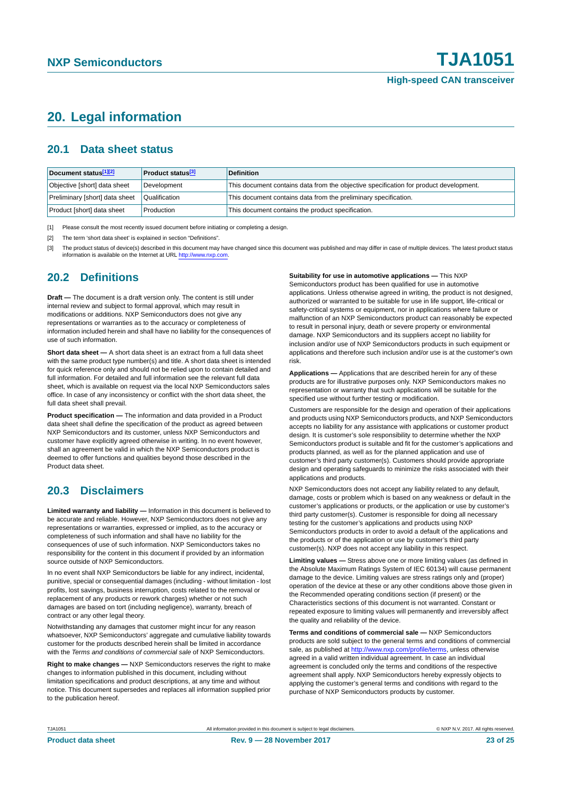## <span id="page-22-3"></span>**20. Legal information**

### <span id="page-22-4"></span>**20.1 Data sheet status**

| Document status[1][2]          | <b>Product status</b> <sup>[3]</sup> | <b>Definition</b>                                                                     |
|--------------------------------|--------------------------------------|---------------------------------------------------------------------------------------|
| Objective [short] data sheet   | Development                          | This document contains data from the objective specification for product development. |
| Preliminary [short] data sheet | Qualification                        | This document contains data from the preliminary specification.                       |
| Product [short] data sheet     | Production                           | This document contains the product specification.                                     |

<span id="page-22-0"></span>[1] Please consult the most recently issued document before initiating or completing a design.

<span id="page-22-1"></span>[2] The term 'short data sheet' is explained in section "Definitions".

<span id="page-22-2"></span>[3] The product status of device(s) described in this document may have changed since this document was published and may differ in case of multiple devices. The latest product status<br>information is available on the Intern

#### <span id="page-22-5"></span>**20.2 Definitions**

**Draft —** The document is a draft version only. The content is still under internal review and subject to formal approval, which may result in modifications or additions. NXP Semiconductors does not give any representations or warranties as to the accuracy or completeness of information included herein and shall have no liability for the consequences of use of such information.

**Short data sheet —** A short data sheet is an extract from a full data sheet with the same product type number(s) and title. A short data sheet is intended for quick reference only and should not be relied upon to contain detailed and full information. For detailed and full information see the relevant full data sheet, which is available on request via the local NXP Semiconductors sales office. In case of any inconsistency or conflict with the short data sheet, the full data sheet shall prevail.

**Product specification —** The information and data provided in a Product data sheet shall define the specification of the product as agreed between NXP Semiconductors and its customer, unless NXP Semiconductors and customer have explicitly agreed otherwise in writing. In no event however, shall an agreement be valid in which the NXP Semiconductors product is deemed to offer functions and qualities beyond those described in the Product data sheet.

### <span id="page-22-6"></span>**20.3 Disclaimers**

**Limited warranty and liability —** Information in this document is believed to be accurate and reliable. However, NXP Semiconductors does not give any representations or warranties, expressed or implied, as to the accuracy or completeness of such information and shall have no liability for the consequences of use of such information. NXP Semiconductors takes no responsibility for the content in this document if provided by an information source outside of NXP Semiconductors.

In no event shall NXP Semiconductors be liable for any indirect, incidental, punitive, special or consequential damages (including - without limitation - lost profits, lost savings, business interruption, costs related to the removal or replacement of any products or rework charges) whether or not such damages are based on tort (including negligence), warranty, breach of contract or any other legal theory.

Notwithstanding any damages that customer might incur for any reason whatsoever, NXP Semiconductors' aggregate and cumulative liability towards customer for the products described herein shall be limited in accordance with the *Terms and conditions of commercial sale* of NXP Semiconductors.

**Right to make changes —** NXP Semiconductors reserves the right to make changes to information published in this document, including without limitation specifications and product descriptions, at any time and without notice. This document supersedes and replaces all information supplied prior to the publication hereof.

#### **Suitability for use in automotive applications —** This NXP

Semiconductors product has been qualified for use in automotive applications. Unless otherwise agreed in writing, the product is not designed, authorized or warranted to be suitable for use in life support, life-critical or safety-critical systems or equipment, nor in applications where failure or malfunction of an NXP Semiconductors product can reasonably be expected to result in personal injury, death or severe property or environmental damage. NXP Semiconductors and its suppliers accept no liability for inclusion and/or use of NXP Semiconductors products in such equipment or applications and therefore such inclusion and/or use is at the customer's own risk.

**Applications —** Applications that are described herein for any of these products are for illustrative purposes only. NXP Semiconductors makes no representation or warranty that such applications will be suitable for the specified use without further testing or modification.

Customers are responsible for the design and operation of their applications and products using NXP Semiconductors products, and NXP Semiconductors accepts no liability for any assistance with applications or customer product design. It is customer's sole responsibility to determine whether the NXP Semiconductors product is suitable and fit for the customer's applications and products planned, as well as for the planned application and use of customer's third party customer(s). Customers should provide appropriate design and operating safeguards to minimize the risks associated with their applications and products.

NXP Semiconductors does not accept any liability related to any default, damage, costs or problem which is based on any weakness or default in the customer's applications or products, or the application or use by customer's third party customer(s). Customer is responsible for doing all necessary testing for the customer's applications and products using NXP Semiconductors products in order to avoid a default of the applications and the products or of the application or use by customer's third party customer(s). NXP does not accept any liability in this respect.

**Limiting values —** Stress above one or more limiting values (as defined in the Absolute Maximum Ratings System of IEC 60134) will cause permanent damage to the device. Limiting values are stress ratings only and (proper) operation of the device at these or any other conditions above those given in the Recommended operating conditions section (if present) or the Characteristics sections of this document is not warranted. Constant or repeated exposure to limiting values will permanently and irreversibly affect the quality and reliability of the device.

**Terms and conditions of commercial sale —** NXP Semiconductors products are sold subject to the general terms and conditions of commercial sale, as published at<http://www.nxp.com/profile/terms>, unless otherwise agreed in a valid written individual agreement. In case an individual agreement is concluded only the terms and conditions of the respective agreement shall apply. NXP Semiconductors hereby expressly objects to applying the customer's general terms and conditions with regard to the purchase of NXP Semiconductors products by customer.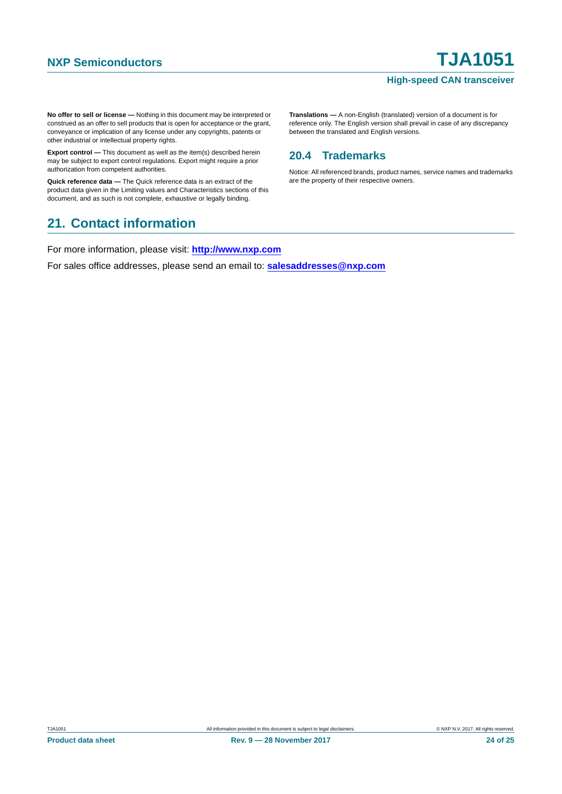**No offer to sell or license —** Nothing in this document may be interpreted or construed as an offer to sell products that is open for acceptance or the grant, conveyance or implication of any license under any copyrights, patents or other industrial or intellectual property rights.

**Export control —** This document as well as the item(s) described herein may be subject to export control regulations. Export might require a prior authorization from competent authorities.

**Quick reference data —** The Quick reference data is an extract of the product data given in the Limiting values and Characteristics sections of this document, and as such is not complete, exhaustive or legally binding.

## <span id="page-23-1"></span>**21. Contact information**

For more information, please visit: **http://www.nxp.com**

For sales office addresses, please send an email to: **salesaddresses@nxp.com**

**Translations —** A non-English (translated) version of a document is for reference only. The English version shall prevail in case of any discrepancy between the translated and English versions.

### <span id="page-23-0"></span>**20.4 Trademarks**

Notice: All referenced brands, product names, service names and trademarks are the property of their respective owners.